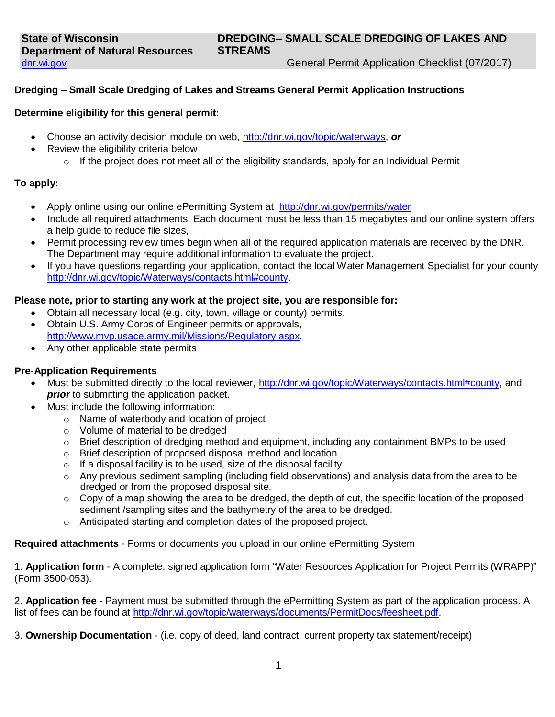General Permit Application Checklist (07/2017)

### **Dredging – Small Scale Dredging of Lakes and Streams General Permit Application Instructions**

### **Determine eligibility for this general permit:**

- Choose an activity decision module on web, [http://dnr.wi.gov/topic/waterways,](http://dnr.wi.gov/topic/waterways) *or*
- Review the eligibility criteria below
	- $\circ$  If the project does not meet all of the eligibility standards, apply for an Individual Permit

### **To apply:**

- Apply online using our online ePermitting System at <http://dnr.wi.gov/permits/water>
- Include all required attachments. Each document must be less than 15 megabytes and our online system offers a help guide to reduce file sizes,
- Permit processing review times begin when all of the required application materials are received by the DNR. The Department may require additional information to evaluate the project.
- If you have questions regarding your application, contact the local Water Management Specialist for your county [http://dnr.wi.gov/topic/Waterways/contacts.html#county.](http://dnr.wi.gov/topic/Waterways/contacts.html#county)

### **Please note, prior to starting any work at the project site, you are responsible for:**

- Obtain all necessary local (e.g. city, town, village or county) permits.
- Obtain U.S. Army Corps of Engineer permits or approvals, [http://www.mvp.usace.army.mil/Missions/Regulatory.aspx.](http://www.mvp.usace.army.mil/Missions/Regulatory.aspx)
- Any other applicable state permits

#### **Pre-Application Requirements**

- Must be submitted directly to the local reviewer, [http://dnr.wi.gov/topic/Waterways/contacts.html#county,](http://dnr.wi.gov/topic/Waterways/contacts.html#county) and *prior* to submitting the application packet.
- Must include the following information:
	- o Name of waterbody and location of project
	- o Volume of material to be dredged
	- o Brief description of dredging method and equipment, including any containment BMPs to be used
	- o Brief description of proposed disposal method and location
	- $\circ$  If a disposal facility is to be used, size of the disposal facility
	- $\circ$  Any previous sediment sampling (including field observations) and analysis data from the area to be dredged or from the proposed disposal site.
	- $\circ$  Copy of a map showing the area to be dredged, the depth of cut, the specific location of the proposed sediment /sampling sites and the bathymetry of the area to be dredged.
	- o Anticipated starting and completion dates of the proposed project.

**Required attachments** - Forms or documents you upload in our online ePermitting System

1. **Application form** - A complete, signed application form "Water Resources Application for Project Permits (WRAPP)" (Form 3500-053).

2. **Application fee** - Payment must be submitted through the ePermitting System as part of the application process. A list of fees can be found at [http://dnr.wi.gov/topic/waterways/documents/PermitDocs/feesheet.pdf.](http://dnr.wi.gov/topic/waterways/documents/PermitDocs/feesheet.pdf)

3. **Ownership Documentation** - (i.e. copy of deed, land contract, current property tax statement/receipt)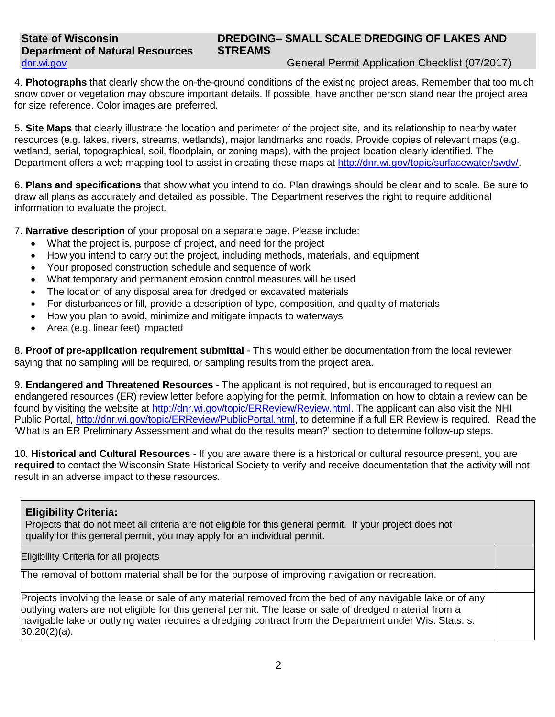General Permit Application Checklist (07/2017)

4. **Photographs** that clearly show the on-the-ground conditions of the existing project areas. Remember that too much snow cover or vegetation may obscure important details. If possible, have another person stand near the project area for size reference. Color images are preferred.

5. **Site Maps** that clearly illustrate the location and perimeter of the project site, and its relationship to nearby water resources (e.g. lakes, rivers, streams, wetlands), major landmarks and roads. Provide copies of relevant maps (e.g. wetland, aerial, topographical, soil, floodplain, or zoning maps), with the project location clearly identified. The Department offers a web mapping tool to assist in creating these maps at [http://dnr.wi.gov/topic/surfacewater/swdv/.](http://dnr.wi.gov/topic/surfacewater/swdv/)

6. **Plans and specifications** that show what you intend to do. Plan drawings should be clear and to scale. Be sure to draw all plans as accurately and detailed as possible. The Department reserves the right to require additional information to evaluate the project.

7. **Narrative description** of your proposal on a separate page. Please include:

- What the project is, purpose of project, and need for the project
- How you intend to carry out the project, including methods, materials, and equipment
- Your proposed construction schedule and sequence of work
- What temporary and permanent erosion control measures will be used
- The location of any disposal area for dredged or excavated materials
- For disturbances or fill, provide a description of type, composition, and quality of materials
- How you plan to avoid, minimize and mitigate impacts to waterways
- Area (e.g. linear feet) impacted

8. **Proof of pre-application requirement submittal** - This would either be documentation from the local reviewer saying that no sampling will be required, or sampling results from the project area.

9. **Endangered and Threatened Resources** - The applicant is not required, but is encouraged to request an endangered resources (ER) review letter before applying for the permit. Information on how to obtain a review can be found by visiting the website at [http://dnr.wi.gov/topic/ERReview/Review.html.](http://dnr.wi.gov/topic/ERReview/Review.html) The applicant can also visit the NHI Public Portal, [http://dnr.wi.gov/topic/ERReview/PublicPortal.html,](http://dnr.wi.gov/topic/ERReview/PublicPortal.html) to determine if a full ER Review is required. Read the 'What is an ER Preliminary Assessment and what do the results mean?' section to determine follow-up steps.

10. **Historical and Cultural Resources** - If you are aware there is a historical or cultural resource present, you are **required** to contact the Wisconsin State Historical Society to verify and receive documentation that the activity will not result in an adverse impact to these resources.

# **Eligibility Criteria:**

Projects that do not meet all criteria are not eligible for this general permit. If your project does not qualify for this general permit, you may apply for an individual permit.

1. Eligibility Criteria for all projects

The removal of bottom material shall be for the purpose of improving navigation or recreation.

Projects involving the lease or sale of any material removed from the bed of any navigable lake or of any outlying waters are not eligible for this general permit. The lease or sale of dredged material from a navigable lake or outlying water requires a dredging contract from the Department under Wis. Stats. s.  $30.20(2)(a)$ .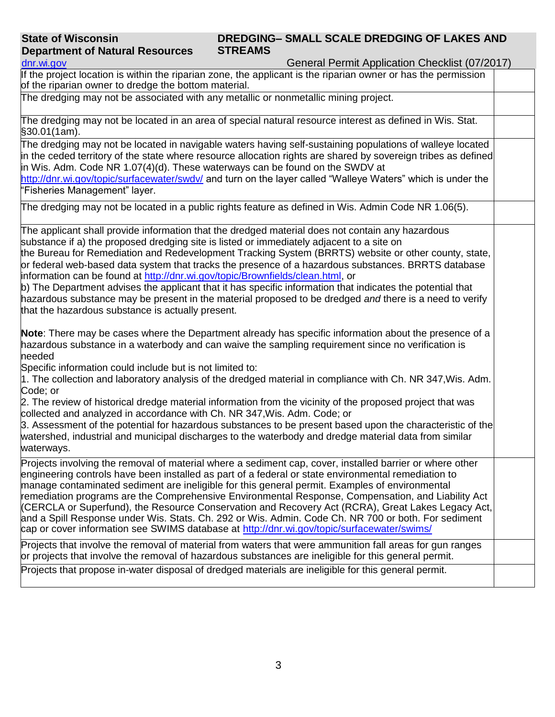| dnr.wi.gov                                        | General Permit Application Checklist (07/2017)                                                                                                                                                                                                                                                                                                                                                                                                                                                                                                                                                                                                                                                                                    |  |
|---------------------------------------------------|-----------------------------------------------------------------------------------------------------------------------------------------------------------------------------------------------------------------------------------------------------------------------------------------------------------------------------------------------------------------------------------------------------------------------------------------------------------------------------------------------------------------------------------------------------------------------------------------------------------------------------------------------------------------------------------------------------------------------------------|--|
|                                                   | If the project location is within the riparian zone, the applicant is the riparian owner or has the permission<br>of the riparian owner to dredge the bottom material.                                                                                                                                                                                                                                                                                                                                                                                                                                                                                                                                                            |  |
|                                                   | The dredging may not be associated with any metallic or nonmetallic mining project.                                                                                                                                                                                                                                                                                                                                                                                                                                                                                                                                                                                                                                               |  |
| §30.01(1am).                                      | The dredging may not be located in an area of special natural resource interest as defined in Wis. Stat.                                                                                                                                                                                                                                                                                                                                                                                                                                                                                                                                                                                                                          |  |
| 'Fisheries Management" layer.                     | The dredging may not be located in navigable waters having self-sustaining populations of walleye located<br>in the ceded territory of the state where resource allocation rights are shared by sovereign tribes as defined<br>in Wis. Adm. Code NR 1.07(4)(d). These waterways can be found on the SWDV at<br>http://dnr.wi.gov/topic/surfacewater/swdv/ and turn on the layer called "Walleye Waters" which is under the                                                                                                                                                                                                                                                                                                        |  |
|                                                   | The dredging may not be located in a public rights feature as defined in Wis. Admin Code NR 1.06(5).                                                                                                                                                                                                                                                                                                                                                                                                                                                                                                                                                                                                                              |  |
| that the hazardous substance is actually present. | The applicant shall provide information that the dredged material does not contain any hazardous<br>substance if a) the proposed dredging site is listed or immediately adjacent to a site on<br>the Bureau for Remediation and Redevelopment Tracking System (BRRTS) website or other county, state,<br>or federal web-based data system that tracks the presence of a hazardous substances. BRRTS database<br>information can be found at http://dnr.wi.gov/topic/Brownfields/clean.html, or<br>b) The Department advises the applicant that it has specific information that indicates the potential that<br>hazardous substance may be present in the material proposed to be dredged and there is a need to verify           |  |
| needed                                            | Note: There may be cases where the Department already has specific information about the presence of a<br>hazardous substance in a waterbody and can waive the sampling requirement since no verification is<br>Specific information could include but is not limited to:                                                                                                                                                                                                                                                                                                                                                                                                                                                         |  |
| Code; or                                          | 1. The collection and laboratory analysis of the dredged material in compliance with Ch. NR 347, Wis. Adm.                                                                                                                                                                                                                                                                                                                                                                                                                                                                                                                                                                                                                        |  |
|                                                   | 2. The review of historical dredge material information from the vicinity of the proposed project that was<br>collected and analyzed in accordance with Ch. NR 347, Wis. Adm. Code; or                                                                                                                                                                                                                                                                                                                                                                                                                                                                                                                                            |  |
| waterways.                                        | 3. Assessment of the potential for hazardous substances to be present based upon the characteristic of the<br>watershed, industrial and municipal discharges to the waterbody and dredge material data from similar                                                                                                                                                                                                                                                                                                                                                                                                                                                                                                               |  |
|                                                   | Projects involving the removal of material where a sediment cap, cover, installed barrier or where other<br>engineering controls have been installed as part of a federal or state environmental remediation to<br>manage contaminated sediment are ineligible for this general permit. Examples of environmental<br>remediation programs are the Comprehensive Environmental Response, Compensation, and Liability Act<br>(CERCLA or Superfund), the Resource Conservation and Recovery Act (RCRA), Great Lakes Legacy Act,<br>and a Spill Response under Wis. Stats. Ch. 292 or Wis. Admin. Code Ch. NR 700 or both. For sediment<br>cap or cover information see SWIMS database at http://dnr.wi.gov/topic/surfacewater/swims/ |  |
|                                                   | Projects that involve the removal of material from waters that were ammunition fall areas for gun ranges<br>or projects that involve the removal of hazardous substances are ineligible for this general permit.                                                                                                                                                                                                                                                                                                                                                                                                                                                                                                                  |  |
|                                                   | Projects that propose in-water disposal of dredged materials are ineligible for this general permit.                                                                                                                                                                                                                                                                                                                                                                                                                                                                                                                                                                                                                              |  |

**STREAMS**

**DREDGING– SMALL SCALE DREDGING OF LAKES AND** 

**State of Wisconsin**

**Department of Natural Resources**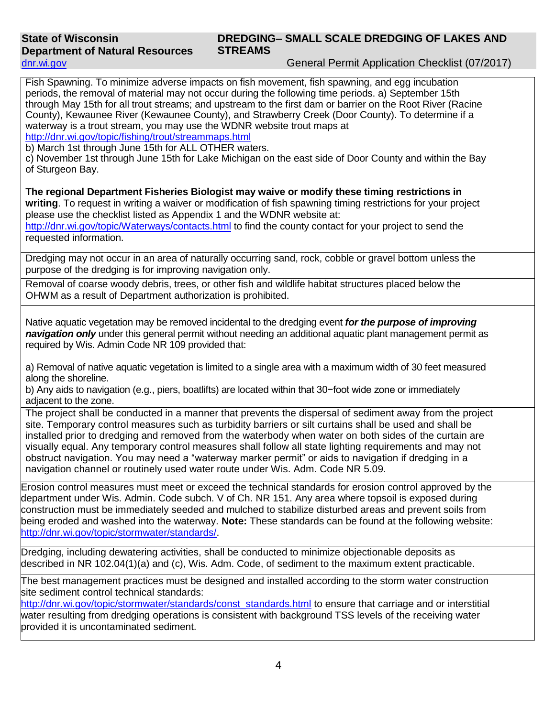# **DREDGING– SMALL SCALE DREDGING OF LAKES AND STREAMS**

General Permit Application Checklist (07/2017)

| Fish Spawning. To minimize adverse impacts on fish movement, fish spawning, and egg incubation<br>periods, the removal of material may not occur during the following time periods. a) September 15th<br>through May 15th for all trout streams; and upstream to the first dam or barrier on the Root River (Racine<br>County), Kewaunee River (Kewaunee County), and Strawberry Creek (Door County). To determine if a<br>waterway is a trout stream, you may use the WDNR website trout maps at<br>http://dnr.wi.gov/topic/fishing/trout/streammaps.html<br>b) March 1st through June 15th for ALL OTHER waters.<br>c) November 1st through June 15th for Lake Michigan on the east side of Door County and within the Bay<br>of Sturgeon Bay. |  |
|--------------------------------------------------------------------------------------------------------------------------------------------------------------------------------------------------------------------------------------------------------------------------------------------------------------------------------------------------------------------------------------------------------------------------------------------------------------------------------------------------------------------------------------------------------------------------------------------------------------------------------------------------------------------------------------------------------------------------------------------------|--|
| The regional Department Fisheries Biologist may waive or modify these timing restrictions in<br>writing. To request in writing a waiver or modification of fish spawning timing restrictions for your project<br>please use the checklist listed as Appendix 1 and the WDNR website at:<br>http://dnr.wi.gov/topic/Waterways/contacts.html to find the county contact for your project to send the<br>requested information.                                                                                                                                                                                                                                                                                                                     |  |
| Dredging may not occur in an area of naturally occurring sand, rock, cobble or gravel bottom unless the<br>purpose of the dredging is for improving navigation only.                                                                                                                                                                                                                                                                                                                                                                                                                                                                                                                                                                             |  |
| Removal of coarse woody debris, trees, or other fish and wildlife habitat structures placed below the<br>OHWM as a result of Department authorization is prohibited.                                                                                                                                                                                                                                                                                                                                                                                                                                                                                                                                                                             |  |
| Native aquatic vegetation may be removed incidental to the dredging event for the purpose of improving<br>navigation only under this general permit without needing an additional aquatic plant management permit as<br>required by Wis. Admin Code NR 109 provided that:                                                                                                                                                                                                                                                                                                                                                                                                                                                                        |  |
| a) Removal of native aquatic vegetation is limited to a single area with a maximum width of 30 feet measured<br>along the shoreline.<br>b) Any aids to navigation (e.g., piers, boatlifts) are located within that 30-foot wide zone or immediately<br>adjacent to the zone.                                                                                                                                                                                                                                                                                                                                                                                                                                                                     |  |
| The project shall be conducted in a manner that prevents the dispersal of sediment away from the project<br>site. Temporary control measures such as turbidity barriers or silt curtains shall be used and shall be<br>installed prior to dredging and removed from the waterbody when water on both sides of the curtain are<br>visually equal. Any temporary control measures shall follow all state lighting requirements and may not<br>obstruct navigation. You may need a "waterway marker permit" or aids to navigation if dredging in a<br>navigation channel or routinely used water route under Wis. Adm. Code NR 5.09.                                                                                                                |  |
| Erosion control measures must meet or exceed the technical standards for erosion control approved by the<br>department under Wis. Admin. Code subch. V of Ch. NR 151. Any area where topsoil is exposed during<br>construction must be immediately seeded and mulched to stabilize disturbed areas and prevent soils from<br>being eroded and washed into the waterway. Note: These standards can be found at the following website:<br>http://dnr.wi.gov/topic/stormwater/standards/.                                                                                                                                                                                                                                                           |  |
| Dredging, including dewatering activities, shall be conducted to minimize objectionable deposits as<br>described in NR 102.04(1)(a) and (c), Wis. Adm. Code, of sediment to the maximum extent practicable.                                                                                                                                                                                                                                                                                                                                                                                                                                                                                                                                      |  |
| The best management practices must be designed and installed according to the storm water construction<br>site sediment control technical standards:<br>http://dnr.wi.gov/topic/stormwater/standards/const_standards.html to ensure that carriage and or interstitial<br>water resulting from dredging operations is consistent with background TSS levels of the receiving water<br>provided it is uncontaminated sediment.                                                                                                                                                                                                                                                                                                                     |  |